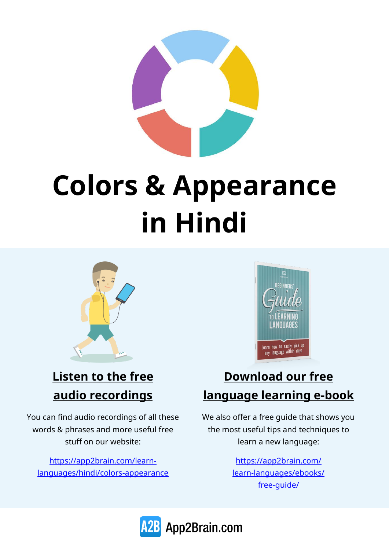

# **Colors & Appearance in Hindi**



#### **Listen to the free audio recordings**

You can find audio recordings of all these words & phrases and more useful free stuff on our website:

[https://app2brain.com/learn](https://app2brain.com/learn-languages/hindi/colors-appearance)[languages/hindi/colors-appearance](https://app2brain.com/learn-languages/hindi/colors-appearance)



#### **Download our free language learning e-book**

We also offer a free guide that shows you the most useful tips and techniques to learn a new language:

> [https://app2brain.com/](https://app2brain.com/learn-languages/ebooks/free-guide/) [learn-languages/ebooks/](https://app2brain.com/learn-languages/ebooks/free-guide/) [free-guide/](https://app2brain.com/learn-languages/ebooks/free-guide/)

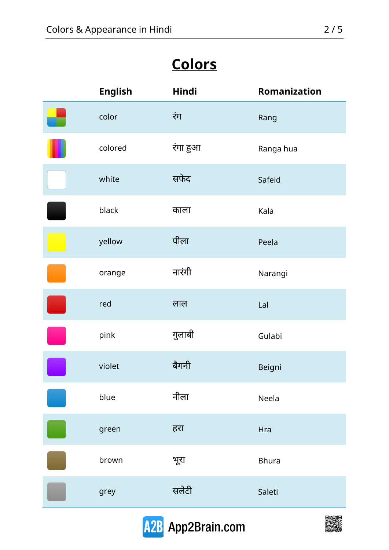## **Colors**

| <b>English</b> | Hindi    | Romanization |
|----------------|----------|--------------|
| color          | रंग      | Rang         |
| colored        | रंगा हुआ | Ranga hua    |
| white          | सफेद     | Safeid       |
| black          | काला     | Kala         |
| yellow         | पीला     | Peela        |
| orange         | नारंगी   | Narangi      |
| red            | लाल      | Lal          |
| pink           | गुलाबी   | Gulabi       |
| violet         | बैगनी    | Beigni       |
| blue           | नीला     | Neela        |
| green          | हरा      | Hra          |
| brown          | भूरा     | <b>Bhura</b> |
| grey           | सलेटी    | Saleti       |



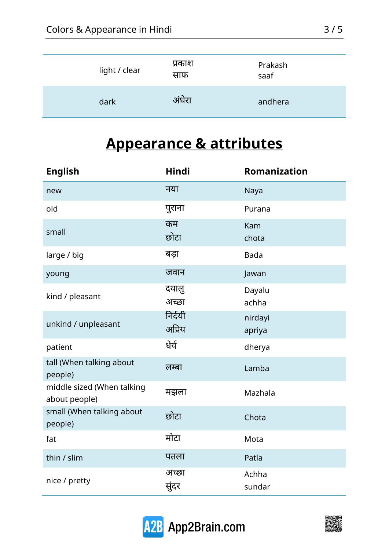| light / clear | प्रकाश<br>साफ | Prakash<br>saaf |
|---------------|---------------|-----------------|
| dark          | अंधेरा        | andhera         |

### **Appearance & attributes**

| <b>English</b>                              | Hindi             | <b>Romanization</b> |
|---------------------------------------------|-------------------|---------------------|
| new                                         | नया               | Naya                |
| old                                         | पुराना            | Purana              |
| small                                       | कम<br>छोटा        | Kam<br>chota        |
| large / big                                 | बडा               | <b>Bada</b>         |
| young                                       | जवान              | Jawan               |
| kind / pleasant                             | दयालु<br>अच्छा    | Dayalu<br>achha     |
| unkind / unpleasant                         | निर्दयी<br>अप्रिय | nirdayi<br>apriya   |
| patient                                     | धेर्य             | dherya              |
| tall (When talking about<br>people)         | लम्बा             | Lamba               |
| middle sized (When talking<br>about people) | मझला              | Mazhala             |
| small (When talking about<br>people)        | छोटा              | Chota               |
| fat                                         | मोटा              | Mota                |
| thin / slim                                 | पतला              | Patla               |
| nice / pretty                               | अच्छा<br>सुंदर    | Achha<br>sundar     |



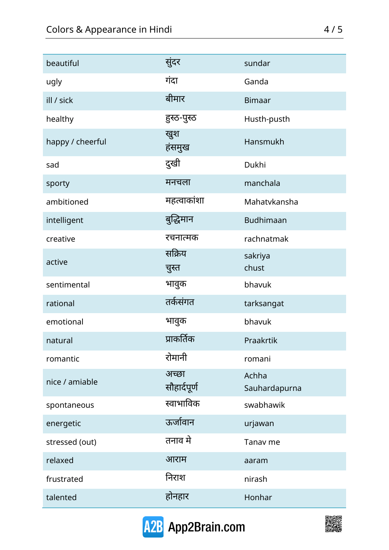| beautiful        | सुंदर                 | sundar                 |
|------------------|-----------------------|------------------------|
| ugly             | गंदा                  | Ganda                  |
| ill / sick       | बीमार                 | <b>Bimaar</b>          |
| healthy          | हुस्ठ-पुस्ठ           | Husth-pusth            |
| happy / cheerful | खुश<br>हंसमुख         | Hansmukh               |
| sad              | दुखी                  | Dukhi                  |
| sporty           | मनचला                 | manchala               |
| ambitioned       | महत्वाकांशा           | Mahatykansha           |
| intelligent      | बुद्धिमान             | <b>Budhimaan</b>       |
| creative         | रचनात्मक              | rachnatmak             |
| active           | सक्रिय<br>चुस्त       | sakriya<br>chust       |
| sentimental      | भावुक                 | bhavuk                 |
| rational         | तर्कसंगत              | tarksangat             |
| emotional        | भावुक                 | bhavuk                 |
| natural          | प्राकर्तिक            | Praakrtik              |
| romantic         | रोमानी                | romani                 |
| nice / amiable   | अच्छा<br>सौहार्दपूर्ण | Achha<br>Sauhardapurna |
| spontaneous      | स्वाभाविक             | swabhawik              |
| energetic        | ऊर्जावान              | urjawan                |
| stressed (out)   | तनाव मे               | Tanav me               |
| relaxed          | आराम                  | aaram                  |
| frustrated       | निराश                 | nirash                 |
| talented         | होनहार                | Honhar                 |